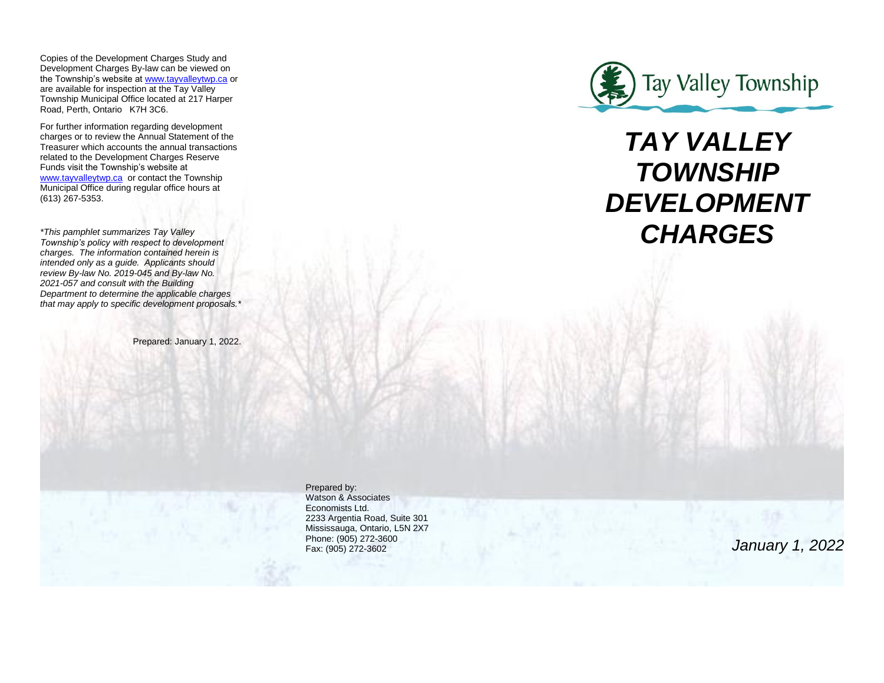Copies of the Development Charges Study and Development Charges By-law can be viewed on the Township's website at [www.tayvalleytwp.ca](http://www.tayvalleytwp.ca/) or are available for inspection at the Tay Valley Township Municipal Office located at 217 Harper Road, Perth, Ontario K7H 3C6.

For further information regarding development charges or to review the Annual Statement of the Treasurer which accounts the annual transactions related to the Development Charges Reserve Funds visit the Township's website at [www.tayvalleytwp.ca](http://www.tayvalleytwp.ca/) or contact the Township Municipal Office during regular office hours at (613) 267-5353.

*\*This pamphlet summarizes Tay Valley Township's policy with respect to development charges. The information contained herein is intended only as a guide. Applicants should review By-law No. 2019-045 and By-law No. 2021-057 and consult with the Building Department to determine the applicable charges that may apply to specific development proposals.\**

Prepared: January 1, 2022.



# *TAY VALLEY TOWNSHIP DEVELOPMENT CHARGES*

Prepared by: Watson & Associates Economists Ltd. 2233 Argentia Road, Suite 301 Mississauga, Ontario, L5N 2X7 Phone: (905) 272-3600 Fax: (905) 272-3602

*January 1, 2022*